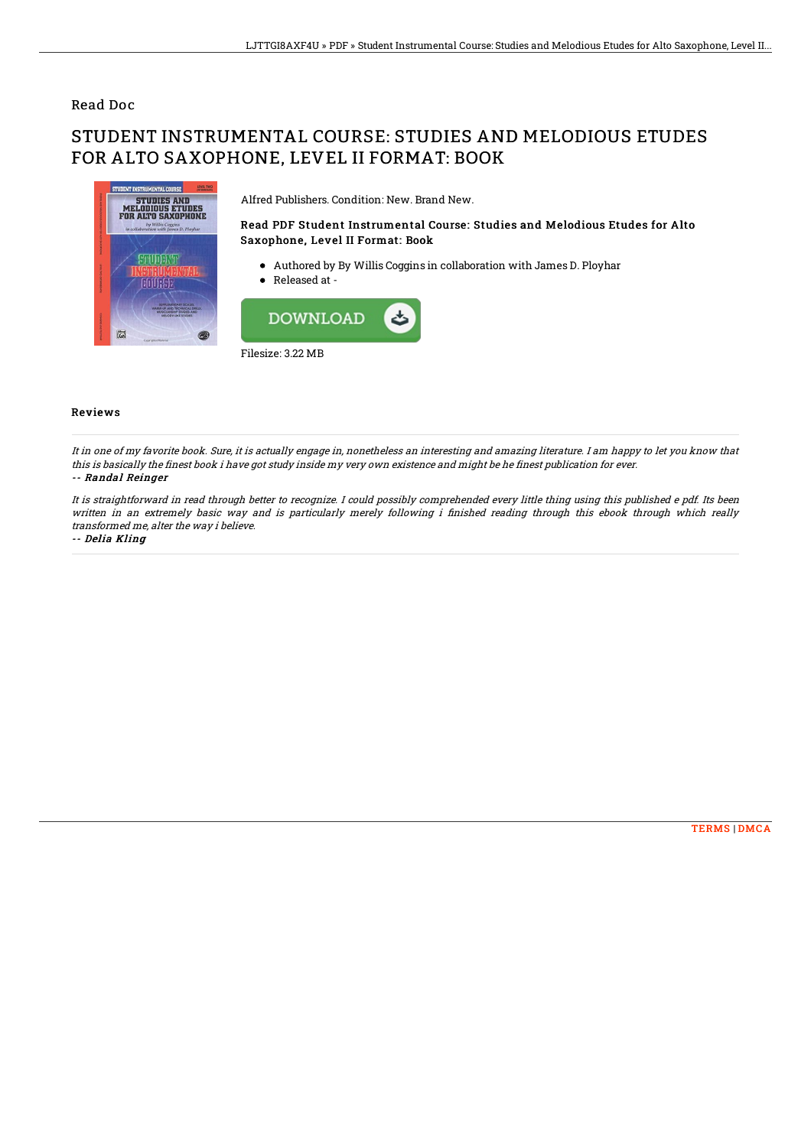### Read Doc

# STUDENT INSTRUMENTAL COURSE: STUDIES AND MELODIOUS ETUDES FOR ALTO SAXOPHONE, LEVEL II FORMAT: BOOK



Alfred Publishers. Condition: New. Brand New.

#### Read PDF Student Instrumental Course: Studies and Melodious Etudes for Alto Saxophone, Level II Format: Book

- Authored by By Willis Coggins in collaboration with James D. Ployhar
- Released at -



#### Reviews

It in one of my favorite book. Sure, it is actually engage in, nonetheless an interesting and amazing literature. I am happy to let you know that this is basically the finest book i have got study inside my very own existence and might be he finest publication for ever. -- Randal Reinger

It is straightforward in read through better to recognize. I could possibly comprehended every little thing using this published <sup>e</sup> pdf. Its been written in an extremely basic way and is particularly merely following i finished reading through this ebook through which really transformed me, alter the way i believe.

-- Delia Kling